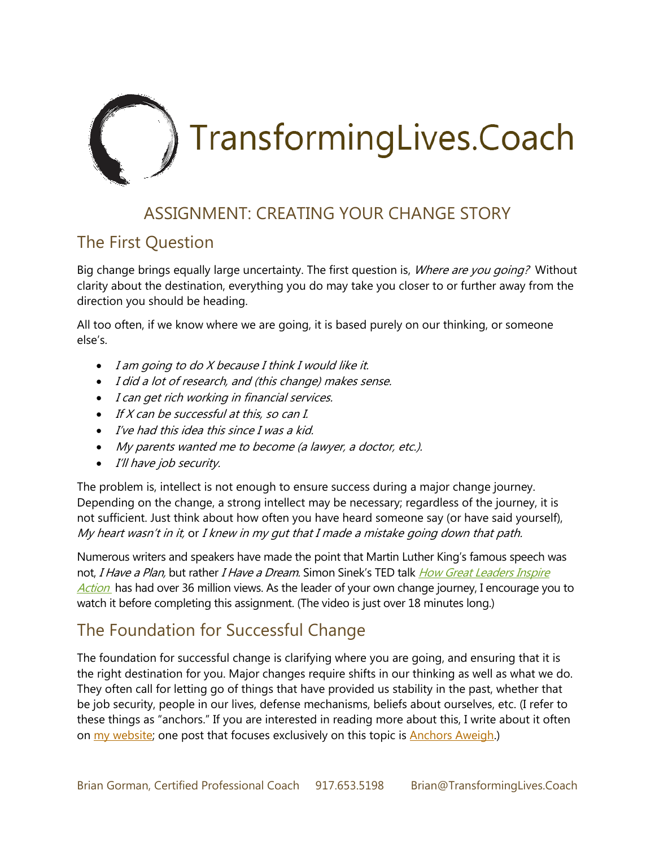

## ASSIGNMENT: CREATING YOUR CHANGE STORY

#### The First Question

Big change brings equally large uncertainty. The first question is, Where are you going? Without clarity about the destination, everything you do may take you closer to or further away from the direction you should be heading.

All too often, if we know where we are going, it is based purely on our thinking, or someone else's.

- I am going to do X because I think I would like it.
- I did a lot of research, and (this change) makes sense.
- I can get rich working in financial services.
- If X can be successful at this, so can I.
- I've had this idea this since I was a kid.
- My parents wanted me to become (a lawyer, a doctor, etc.).
- I'll have job security.

The problem is, intellect is not enough to ensure success during a major change journey. Depending on the change, a strong intellect may be necessary; regardless of the journey, it is not sufficient. Just think about how often you have heard someone say (or have said yourself), My heart wasn't in it, or I knew in my gut that I made a mistake going down that path.

Numerous writers and speakers have made the point that Martin Luther King's famous speech was not, I Have a Plan, but rather I Have a Dream. Simon Sinek's TED talk How Great Leaders Inspire [Action](http://www.ted.com/talks/simon_sinek_how_great_leaders_inspire_action) has had over 36 million views. As the leader of your own change journey, I encourage you to watch it before completing this assignment. (The video is just over 18 minutes long.)

# The Foundation for Successful Change

The foundation for successful change is clarifying where you are going, and ensuring that it is the right destination for you. Major changes require shifts in our thinking as well as what we do. They often call for letting go of things that have provided us stability in the past, whether that be job security, people in our lives, defense mechanisms, beliefs about ourselves, etc. (I refer to these things as "anchors." If you are interested in reading more about this, I write about it often on [my website;](http://www.transforminglives.coach/blog/) one post that focuses exclusively on this topic is [Anchors](http://transforminglives.coach/anchors-aweigh/) Aweigh.)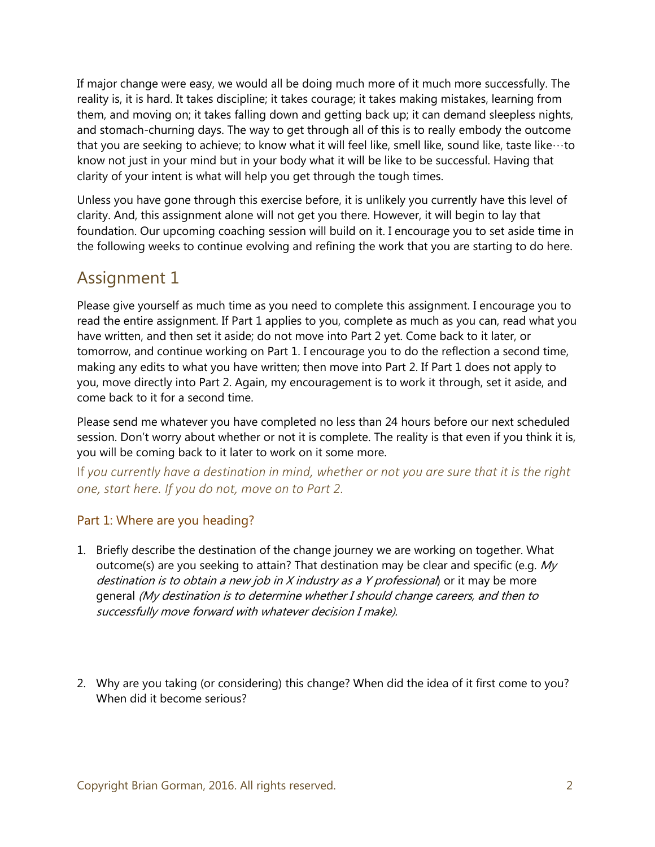If major change were easy, we would all be doing much more of it much more successfully. The reality is, it is hard. It takes discipline; it takes courage; it takes making mistakes, learning from them, and moving on; it takes falling down and getting back up; it can demand sleepless nights, and stomach-churning days. The way to get through all of this is to really embody the outcome that you are seeking to achieve; to know what it will feel like, smell like, sound like, taste like…to know not just in your mind but in your body what it will be like to be successful. Having that clarity of your intent is what will help you get through the tough times.

Unless you have gone through this exercise before, it is unlikely you currently have this level of clarity. And, this assignment alone will not get you there. However, it will begin to lay that foundation. Our upcoming coaching session will build on it. I encourage you to set aside time in the following weeks to continue evolving and refining the work that you are starting to do here.

## Assignment 1

Please give yourself as much time as you need to complete this assignment. I encourage you to read the entire assignment. If Part 1 applies to you, complete as much as you can, read what you have written, and then set it aside; do not move into Part 2 yet. Come back to it later, or tomorrow, and continue working on Part 1. I encourage you to do the reflection a second time, making any edits to what you have written; then move into Part 2. If Part 1 does not apply to you, move directly into Part 2. Again, my encouragement is to work it through, set it aside, and come back to it for a second time.

Please send me whatever you have completed no less than 24 hours before our next scheduled session. Don't worry about whether or not it is complete. The reality is that even if you think it is, you will be coming back to it later to work on it some more.

If *you currently have a destination in mind, whether or not you are sure that it is the right one, start here. If you do not, move on to Part 2.* 

#### Part 1: Where are you heading?

- 1. Briefly describe the destination of the change journey we are working on together. What outcome(s) are you seeking to attain? That destination may be clear and specific (e.g. My destination is to obtain a new job in X industry as a Y professional or it may be more general (My destination is to determine whether I should change careers, and then to successfully move forward with whatever decision I make).
- 2. Why are you taking (or considering) this change? When did the idea of it first come to you? When did it become serious?